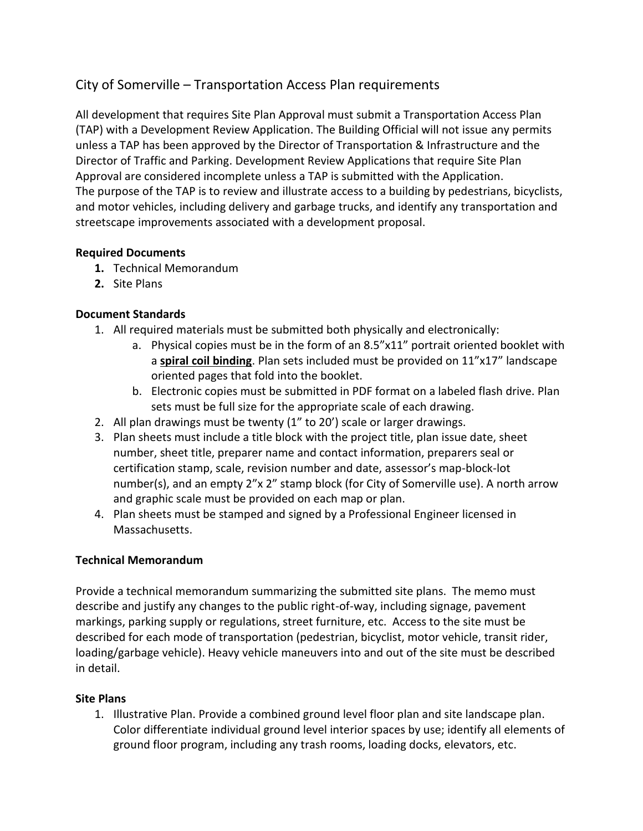# City of Somerville – Transportation Access Plan requirements

All development that requires Site Plan Approval must submit a Transportation Access Plan (TAP) with a Development Review Application. The Building Official will not issue any permits unless a TAP has been approved by the Director of Transportation & Infrastructure and the Director of Traffic and Parking. Development Review Applications that require Site Plan Approval are considered incomplete unless a TAP is submitted with the Application. The purpose of the TAP is to review and illustrate access to a building by pedestrians, bicyclists, and motor vehicles, including delivery and garbage trucks, and identify any transportation and streetscape improvements associated with a development proposal.

## **Required Documents**

- **1.** Technical Memorandum
- **2.** Site Plans

## **Document Standards**

- 1. All required materials must be submitted both physically and electronically:
	- a. Physical copies must be in the form of an 8.5"x11" portrait oriented booklet with a **spiral coil binding**. Plan sets included must be provided on 11"x17" landscape oriented pages that fold into the booklet.
	- b. Electronic copies must be submitted in PDF format on a labeled flash drive. Plan sets must be full size for the appropriate scale of each drawing.
- 2. All plan drawings must be twenty (1" to 20') scale or larger drawings.
- 3. Plan sheets must include a title block with the project title, plan issue date, sheet number, sheet title, preparer name and contact information, preparers seal or certification stamp, scale, revision number and date, assessor's map-block-lot number(s), and an empty 2"x 2" stamp block (for City of Somerville use). A north arrow and graphic scale must be provided on each map or plan.
- 4. Plan sheets must be stamped and signed by a Professional Engineer licensed in Massachusetts.

# **Technical Memorandum**

Provide a technical memorandum summarizing the submitted site plans. The memo must describe and justify any changes to the public right-of-way, including signage, pavement markings, parking supply or regulations, street furniture, etc. Access to the site must be described for each mode of transportation (pedestrian, bicyclist, motor vehicle, transit rider, loading/garbage vehicle). Heavy vehicle maneuvers into and out of the site must be described in detail.

#### **Site Plans**

1. Illustrative Plan. Provide a combined ground level floor plan and site landscape plan. Color differentiate individual ground level interior spaces by use; identify all elements of ground floor program, including any trash rooms, loading docks, elevators, etc.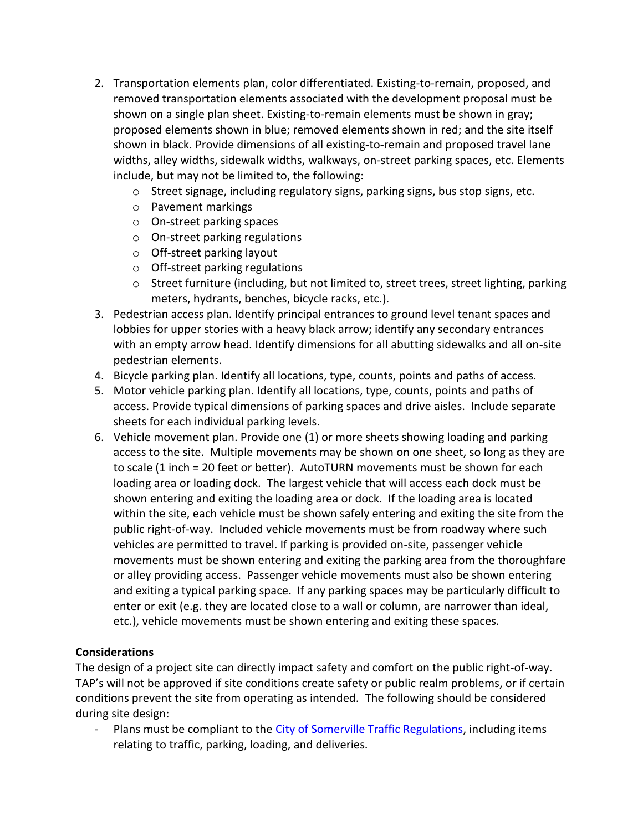- 2. Transportation elements plan, color differentiated. Existing-to-remain, proposed, and removed transportation elements associated with the development proposal must be shown on a single plan sheet. Existing-to-remain elements must be shown in gray; proposed elements shown in blue; removed elements shown in red; and the site itself shown in black. Provide dimensions of all existing-to-remain and proposed travel lane widths, alley widths, sidewalk widths, walkways, on-street parking spaces, etc. Elements include, but may not be limited to, the following:
	- $\circ$  Street signage, including regulatory signs, parking signs, bus stop signs, etc.
	- o Pavement markings
	- o On-street parking spaces
	- o On-street parking regulations
	- o Off-street parking layout
	- o Off-street parking regulations
	- o Street furniture (including, but not limited to, street trees, street lighting, parking meters, hydrants, benches, bicycle racks, etc.).
- 3. Pedestrian access plan. Identify principal entrances to ground level tenant spaces and lobbies for upper stories with a heavy black arrow; identify any secondary entrances with an empty arrow head. Identify dimensions for all abutting sidewalks and all on-site pedestrian elements.
- 4. Bicycle parking plan. Identify all locations, type, counts, points and paths of access.
- 5. Motor vehicle parking plan. Identify all locations, type, counts, points and paths of access. Provide typical dimensions of parking spaces and drive aisles. Include separate sheets for each individual parking levels.
- 6. Vehicle movement plan. Provide one (1) or more sheets showing loading and parking access to the site. Multiple movements may be shown on one sheet, so long as they are to scale (1 inch = 20 feet or better). AutoTURN movements must be shown for each loading area or loading dock. The largest vehicle that will access each dock must be shown entering and exiting the loading area or dock. If the loading area is located within the site, each vehicle must be shown safely entering and exiting the site from the public right-of-way. Included vehicle movements must be from roadway where such vehicles are permitted to travel. If parking is provided on-site, passenger vehicle movements must be shown entering and exiting the parking area from the thoroughfare or alley providing access. Passenger vehicle movements must also be shown entering and exiting a typical parking space. If any parking spaces may be particularly difficult to enter or exit (e.g. they are located close to a wall or column, are narrower than ideal, etc.), vehicle movements must be shown entering and exiting these spaces.

#### **Considerations**

The design of a project site can directly impact safety and comfort on the public right-of-way. TAP's will not be approved if site conditions create safety or public realm problems, or if certain conditions prevent the site from operating as intended. The following should be considered during site design:

Plans must be compliant to the [City of Somerville Traffic Regulations,](https://www.somervillema.gov/sites/default/files/current-traffic-regs.pdf) including items relating to traffic, parking, loading, and deliveries.